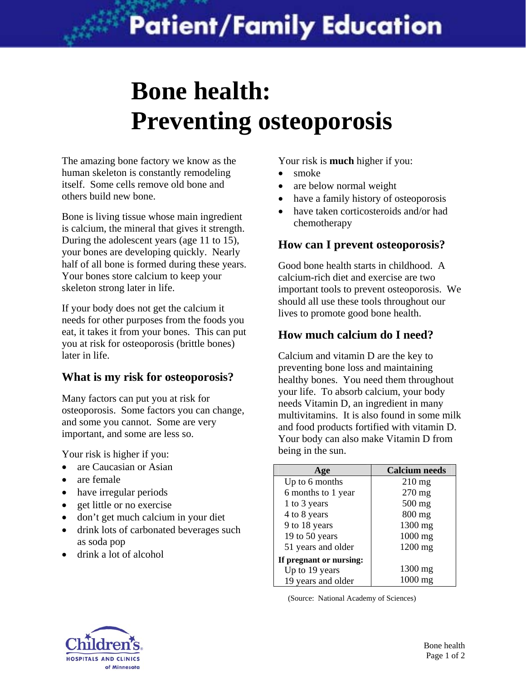# **Bone health: Preventing osteoporosis**

The amazing bone factory we know as the human skeleton is constantly remodeling itself. Some cells remove old bone and others build new bone.

Bone is living tissue whose main ingredient is calcium, the mineral that gives it strength. During the adolescent years (age 11 to 15), your bones are developing quickly. Nearly half of all bone is formed during these years. Your bones store calcium to keep your skeleton strong later in life.

If your body does not get the calcium it needs for other purposes from the foods you eat, it takes it from your bones. This can put you at risk for osteoporosis (brittle bones) later in life.

# **What is my risk for osteoporosis?**

Many factors can put you at risk for osteoporosis. Some factors you can change, and some you cannot. Some are very important, and some are less so.

Your risk is higher if you:

- are Caucasian or Asian
- are female
- have irregular periods
- get little or no exercise
- don't get much calcium in your diet
- drink lots of carbonated beverages such as soda pop
- drink a lot of alcohol

Your risk is **much** higher if you:

- smoke
- are below normal weight
- have a family history of osteoporosis
- have taken corticosteroids and/or had chemotherapy

# **How can I prevent osteoporosis?**

Good bone health starts in childhood. A calcium-rich diet and exercise are two important tools to prevent osteoporosis. We should all use these tools throughout our lives to promote good bone health.

# **How much calcium do I need?**

Calcium and vitamin D are the key to preventing bone loss and maintaining healthy bones. You need them throughout your life. To absorb calcium, your body needs Vitamin D, an ingredient in many multivitamins. It is also found in some milk and food products fortified with vitamin D. Your body can also make Vitamin D from being in the sun.

| $\overline{\mathbf{e}}$ | <b>Calcium</b> needs |
|-------------------------|----------------------|
| Up to 6 months          | $210$ mg             |
| 6 months to 1 year      | $270$ mg             |
| 1 to 3 years            | 500 mg               |
| 4 to 8 years            | $800$ mg             |
| 9 to 18 years           | 1300 mg              |
| 19 to 50 years          | $1000$ mg            |
| 51 years and older      | $1200$ mg            |
| If pregnant or nursing: |                      |
| Up to 19 years          | 1300 mg              |
| 19 years and older      | $1000 \text{ mg}$    |

(Source: National Academy of Sciences)